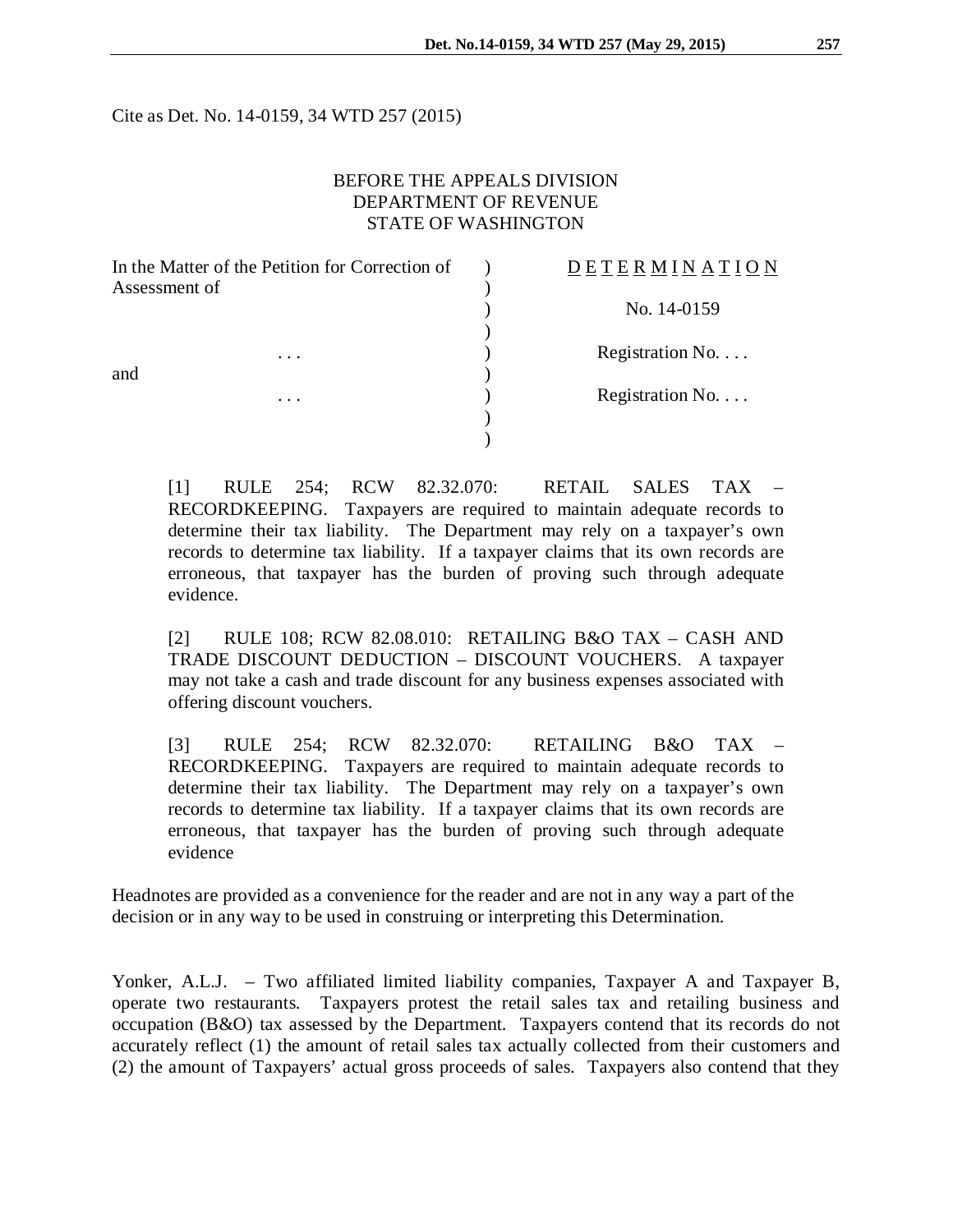Cite as Det. No. 14-0159, 34 WTD 257 (2015)

### BEFORE THE APPEALS DIVISION DEPARTMENT OF REVENUE STATE OF WASHINGTON

| In the Matter of the Petition for Correction of |          | <b>DETERMINATION</b> |
|-------------------------------------------------|----------|----------------------|
| Assessment of                                   |          |                      |
|                                                 |          | No. 14-0159          |
|                                                 |          |                      |
|                                                 | $\cdots$ | Registration No.     |
| and                                             |          |                      |
|                                                 | .        | Registration No.     |
|                                                 |          |                      |
|                                                 |          |                      |
|                                                 |          |                      |

[1] RULE 254; RCW 82.32.070: RETAIL SALES TAX – RECORDKEEPING. Taxpayers are required to maintain adequate records to determine their tax liability. The Department may rely on a taxpayer's own records to determine tax liability. If a taxpayer claims that its own records are erroneous, that taxpayer has the burden of proving such through adequate evidence.

[2] RULE 108; RCW 82.08.010: RETAILING B&O TAX – CASH AND TRADE DISCOUNT DEDUCTION – DISCOUNT VOUCHERS. A taxpayer may not take a cash and trade discount for any business expenses associated with offering discount vouchers.

[3] RULE 254; RCW 82.32.070: RETAILING B&O TAX – RECORDKEEPING. Taxpayers are required to maintain adequate records to determine their tax liability. The Department may rely on a taxpayer's own records to determine tax liability. If a taxpayer claims that its own records are erroneous, that taxpayer has the burden of proving such through adequate evidence

Headnotes are provided as a convenience for the reader and are not in any way a part of the decision or in any way to be used in construing or interpreting this Determination.

Yonker, A.L.J. – Two affiliated limited liability companies, Taxpayer A and Taxpayer B, operate two restaurants. Taxpayers protest the retail sales tax and retailing business and occupation (B&O) tax assessed by the Department. Taxpayers contend that its records do not accurately reflect (1) the amount of retail sales tax actually collected from their customers and (2) the amount of Taxpayers' actual gross proceeds of sales. Taxpayers also contend that they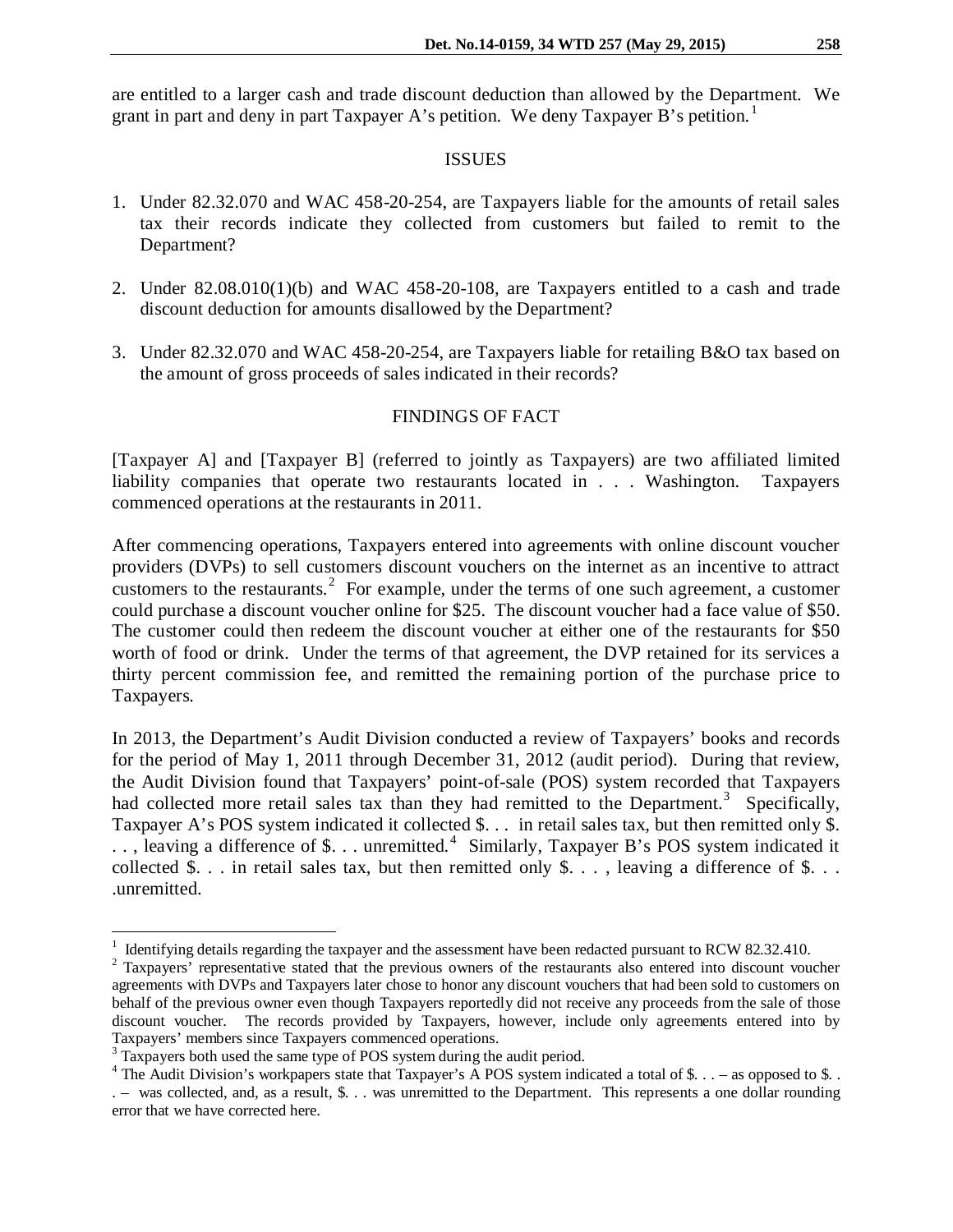are entitled to a larger cash and trade discount deduction than allowed by the Department. We grant in part and deny in part Taxpayer A's petition. We deny Taxpayer B's petition.<sup>[1](#page-1-0)</sup>

#### ISSUES

- 1. Under 82.32.070 and WAC 458-20-254, are Taxpayers liable for the amounts of retail sales tax their records indicate they collected from customers but failed to remit to the Department?
- 2. Under 82.08.010(1)(b) and WAC 458-20-108, are Taxpayers entitled to a cash and trade discount deduction for amounts disallowed by the Department?
- 3. Under 82.32.070 and WAC 458-20-254, are Taxpayers liable for retailing B&O tax based on the amount of gross proceeds of sales indicated in their records?

# FINDINGS OF FACT

[Taxpayer A] and [Taxpayer B] (referred to jointly as Taxpayers) are two affiliated limited liability companies that operate two restaurants located in . . . Washington. Taxpayers commenced operations at the restaurants in 2011.

After commencing operations, Taxpayers entered into agreements with online discount voucher providers (DVPs) to sell customers discount vouchers on the internet as an incentive to attract customers to the restaurants.<sup>[2](#page-1-1)</sup> For example, under the terms of one such agreement, a customer could purchase a discount voucher online for \$25. The discount voucher had a face value of \$50. The customer could then redeem the discount voucher at either one of the restaurants for \$50 worth of food or drink. Under the terms of that agreement, the DVP retained for its services a thirty percent commission fee, and remitted the remaining portion of the purchase price to Taxpayers.

In 2013, the Department's Audit Division conducted a review of Taxpayers' books and records for the period of May 1, 2011 through December 31, 2012 (audit period). During that review, the Audit Division found that Taxpayers' point-of-sale (POS) system recorded that Taxpayers had collected more retail sales tax than they had remitted to the Department.<sup>[3](#page-1-2)</sup> Specifically, Taxpayer A's POS system indicated it collected \$... in retail sales tax, but then remitted only \$. .., leaving a difference of \$... unremitted.<sup>[4](#page-1-3)</sup> Similarly, Taxpayer B's POS system indicated it collected \$... in retail sales tax, but then remitted only  $\delta$ ..., leaving a difference of  $\delta$ ... .unremitted.

<span id="page-1-1"></span>

<span id="page-1-0"></span><sup>&</sup>lt;sup>1</sup> Identifying details regarding the taxpayer and the assessment have been redacted pursuant to RCW 82.32.410. <sup>2</sup> Taxpayers' representative stated that the previous owners of the restaurants also entered into discount v agreements with DVPs and Taxpayers later chose to honor any discount vouchers that had been sold to customers on behalf of the previous owner even though Taxpayers reportedly did not receive any proceeds from the sale of those discount voucher. The records provided by Taxpayers, however, include only agreements entered into by Taxpayers' members since Taxpayers commenced operations.

<span id="page-1-2"></span><sup>&</sup>lt;sup>3</sup> Taxpayers both used the same type of POS system during the audit period.

<span id="page-1-3"></span><sup>&</sup>lt;sup>4</sup> The Audit Division's workpapers state that Taxpayer's A POS system indicated a total of \$. . . – as opposed to \$. . . – was collected, and, as a result, \$. . . was unremitted to the Department. This represents a one dollar rounding error that we have corrected here.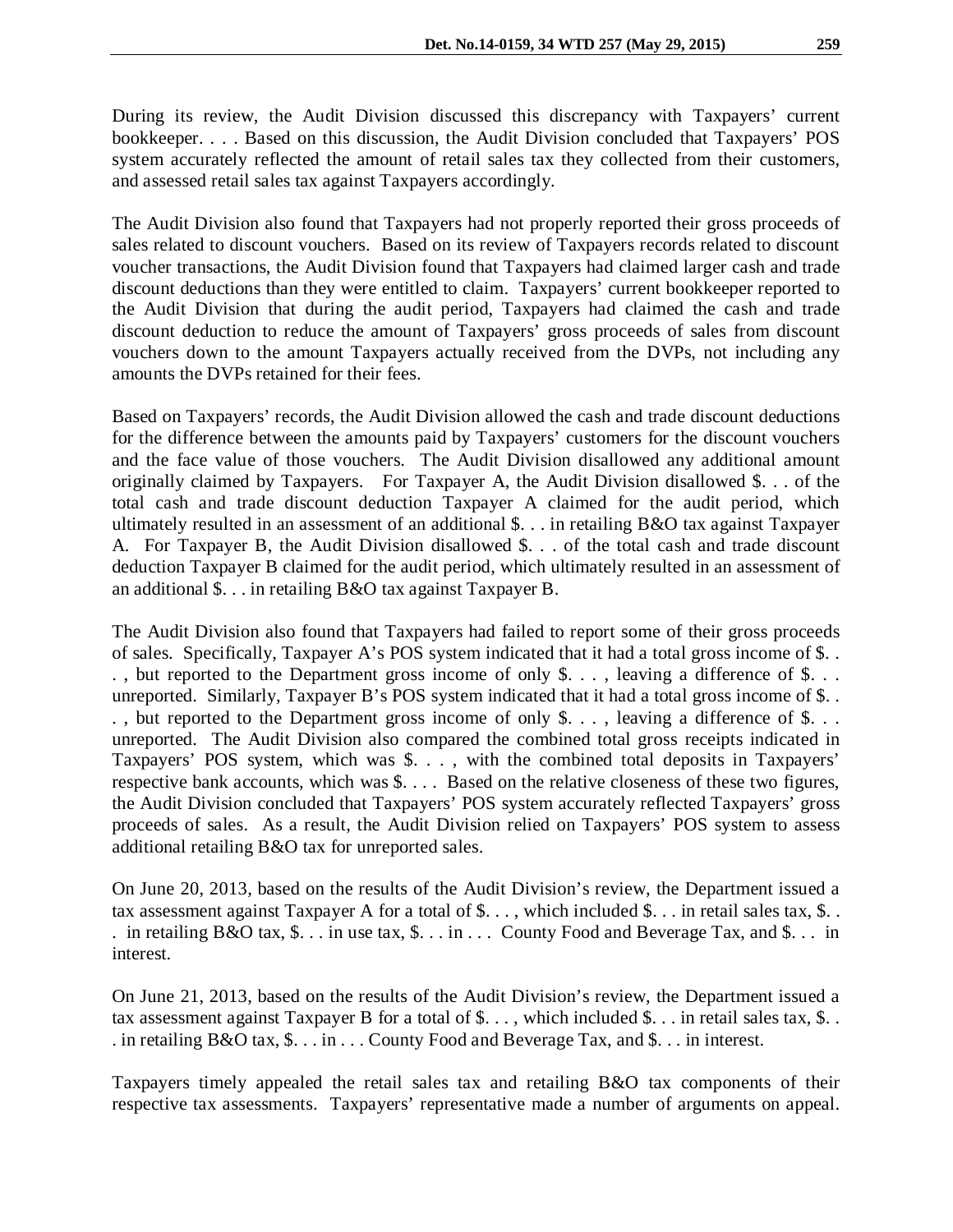During its review, the Audit Division discussed this discrepancy with Taxpayers' current bookkeeper. . . . Based on this discussion, the Audit Division concluded that Taxpayers' POS system accurately reflected the amount of retail sales tax they collected from their customers, and assessed retail sales tax against Taxpayers accordingly.

The Audit Division also found that Taxpayers had not properly reported their gross proceeds of sales related to discount vouchers. Based on its review of Taxpayers records related to discount voucher transactions, the Audit Division found that Taxpayers had claimed larger cash and trade discount deductions than they were entitled to claim. Taxpayers' current bookkeeper reported to the Audit Division that during the audit period, Taxpayers had claimed the cash and trade discount deduction to reduce the amount of Taxpayers' gross proceeds of sales from discount vouchers down to the amount Taxpayers actually received from the DVPs, not including any amounts the DVPs retained for their fees.

Based on Taxpayers' records, the Audit Division allowed the cash and trade discount deductions for the difference between the amounts paid by Taxpayers' customers for the discount vouchers and the face value of those vouchers. The Audit Division disallowed any additional amount originally claimed by Taxpayers. For Taxpayer A, the Audit Division disallowed \$. . . of the total cash and trade discount deduction Taxpayer A claimed for the audit period, which ultimately resulted in an assessment of an additional \$. . . in retailing B&O tax against Taxpayer A. For Taxpayer B, the Audit Division disallowed \$. . . of the total cash and trade discount deduction Taxpayer B claimed for the audit period, which ultimately resulted in an assessment of an additional \$. . . in retailing B&O tax against Taxpayer B.

The Audit Division also found that Taxpayers had failed to report some of their gross proceeds of sales. Specifically, Taxpayer A's POS system indicated that it had a total gross income of \$. . . , but reported to the Department gross income of only \$. . . , leaving a difference of \$. . . unreported. Similarly, Taxpayer B's POS system indicated that it had a total gross income of \$. . . , but reported to the Department gross income of only \$. . . , leaving a difference of \$. . . unreported. The Audit Division also compared the combined total gross receipts indicated in Taxpayers' POS system, which was \$. . . , with the combined total deposits in Taxpayers' respective bank accounts, which was \$. . . . Based on the relative closeness of these two figures, the Audit Division concluded that Taxpayers' POS system accurately reflected Taxpayers' gross proceeds of sales. As a result, the Audit Division relied on Taxpayers' POS system to assess additional retailing B&O tax for unreported sales.

On June 20, 2013, based on the results of the Audit Division's review, the Department issued a tax assessment against Taxpayer A for a total of  $\$\dots$ , which included  $\$\dots$  in retail sales tax,  $\$\dots$ . in retailing B&O tax,  $\$\dots$  in use tax,  $\$\dots$  in  $\dots$  County Food and Beverage Tax, and  $\$\dots$  in interest.

On June 21, 2013, based on the results of the Audit Division's review, the Department issued a tax assessment against Taxpayer B for a total of \$..., which included \$... in retail sales tax, \$... . in retailing B&O tax, \$. . . in . . . County Food and Beverage Tax, and \$. . . in interest.

Taxpayers timely appealed the retail sales tax and retailing B&O tax components of their respective tax assessments. Taxpayers' representative made a number of arguments on appeal.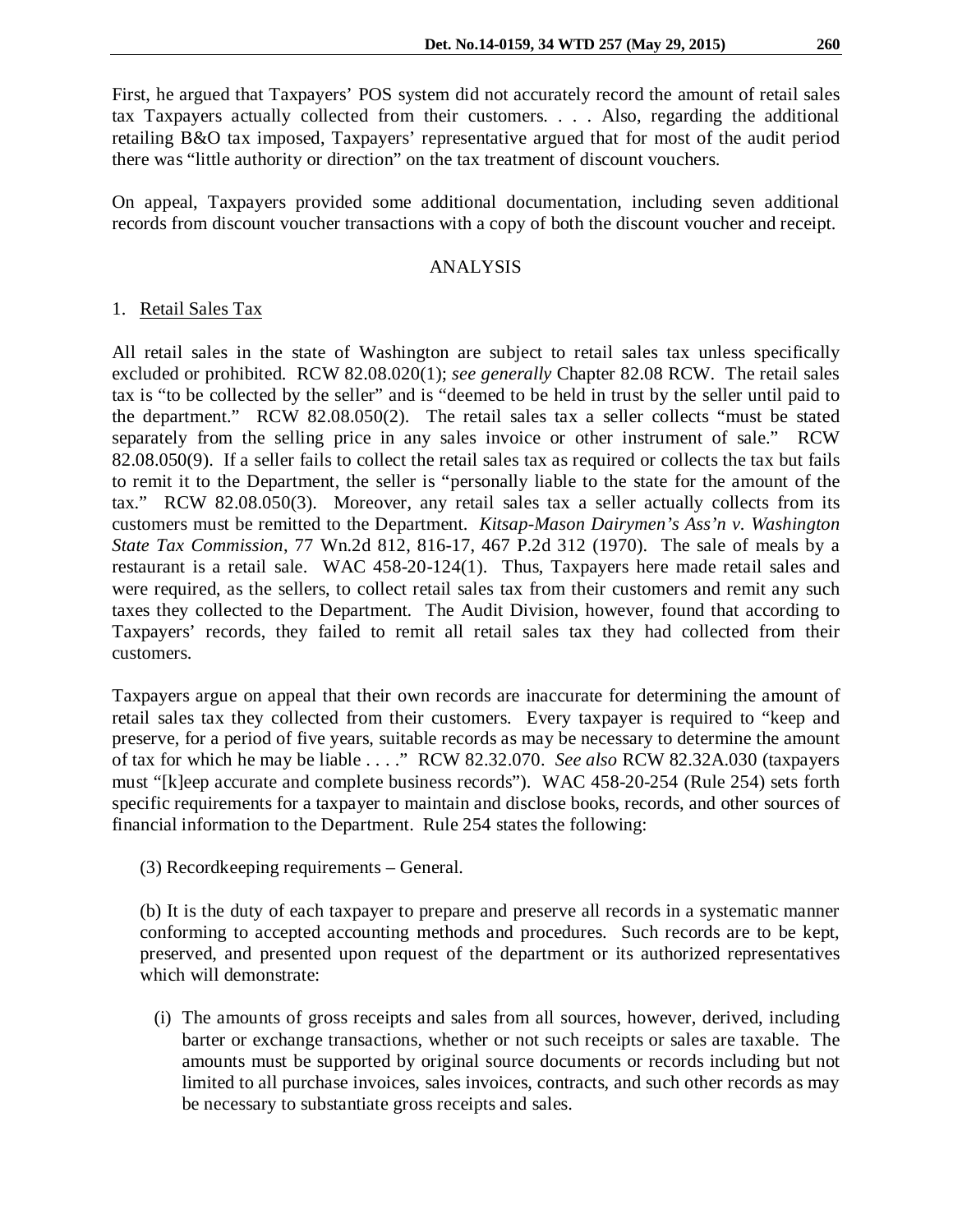First, he argued that Taxpayers' POS system did not accurately record the amount of retail sales tax Taxpayers actually collected from their customers. . . . Also, regarding the additional retailing B&O tax imposed, Taxpayers' representative argued that for most of the audit period there was "little authority or direction" on the tax treatment of discount vouchers.

On appeal, Taxpayers provided some additional documentation, including seven additional records from discount voucher transactions with a copy of both the discount voucher and receipt.

#### ANALYSIS

### 1. Retail Sales Tax

All retail sales in the state of Washington are subject to retail sales tax unless specifically excluded or prohibited. RCW 82.08.020(1); *see generally* Chapter 82.08 RCW. The retail sales tax is "to be collected by the seller" and is "deemed to be held in trust by the seller until paid to the department." RCW 82.08.050(2). The retail sales tax a seller collects "must be stated separately from the selling price in any sales invoice or other instrument of sale." RCW 82.08.050(9). If a seller fails to collect the retail sales tax as required or collects the tax but fails to remit it to the Department, the seller is "personally liable to the state for the amount of the tax." RCW 82.08.050(3). Moreover, any retail sales tax a seller actually collects from its customers must be remitted to the Department. *Kitsap-Mason Dairymen's Ass'n v. Washington State Tax Commission*, 77 Wn.2d 812, 816-17, 467 P.2d 312 (1970). The sale of meals by a restaurant is a retail sale. WAC 458-20-124(1). Thus, Taxpayers here made retail sales and were required, as the sellers, to collect retail sales tax from their customers and remit any such taxes they collected to the Department. The Audit Division, however, found that according to Taxpayers' records, they failed to remit all retail sales tax they had collected from their customers.

Taxpayers argue on appeal that their own records are inaccurate for determining the amount of retail sales tax they collected from their customers. Every taxpayer is required to "keep and preserve, for a period of five years, suitable records as may be necessary to determine the amount of tax for which he may be liable . . . ." RCW 82.32.070. *See also* RCW 82.32A.030 (taxpayers must "[k]eep accurate and complete business records"). WAC 458-20-254 (Rule 254) sets forth specific requirements for a taxpayer to maintain and disclose books, records, and other sources of financial information to the Department. Rule 254 states the following:

(3) Recordkeeping requirements – General.

(b) It is the duty of each taxpayer to prepare and preserve all records in a systematic manner conforming to accepted accounting methods and procedures. Such records are to be kept, preserved, and presented upon request of the department or its authorized representatives which will demonstrate:

(i) The amounts of gross receipts and sales from all sources, however, derived, including barter or exchange transactions, whether or not such receipts or sales are taxable. The amounts must be supported by original source documents or records including but not limited to all purchase invoices, sales invoices, contracts, and such other records as may be necessary to substantiate gross receipts and sales.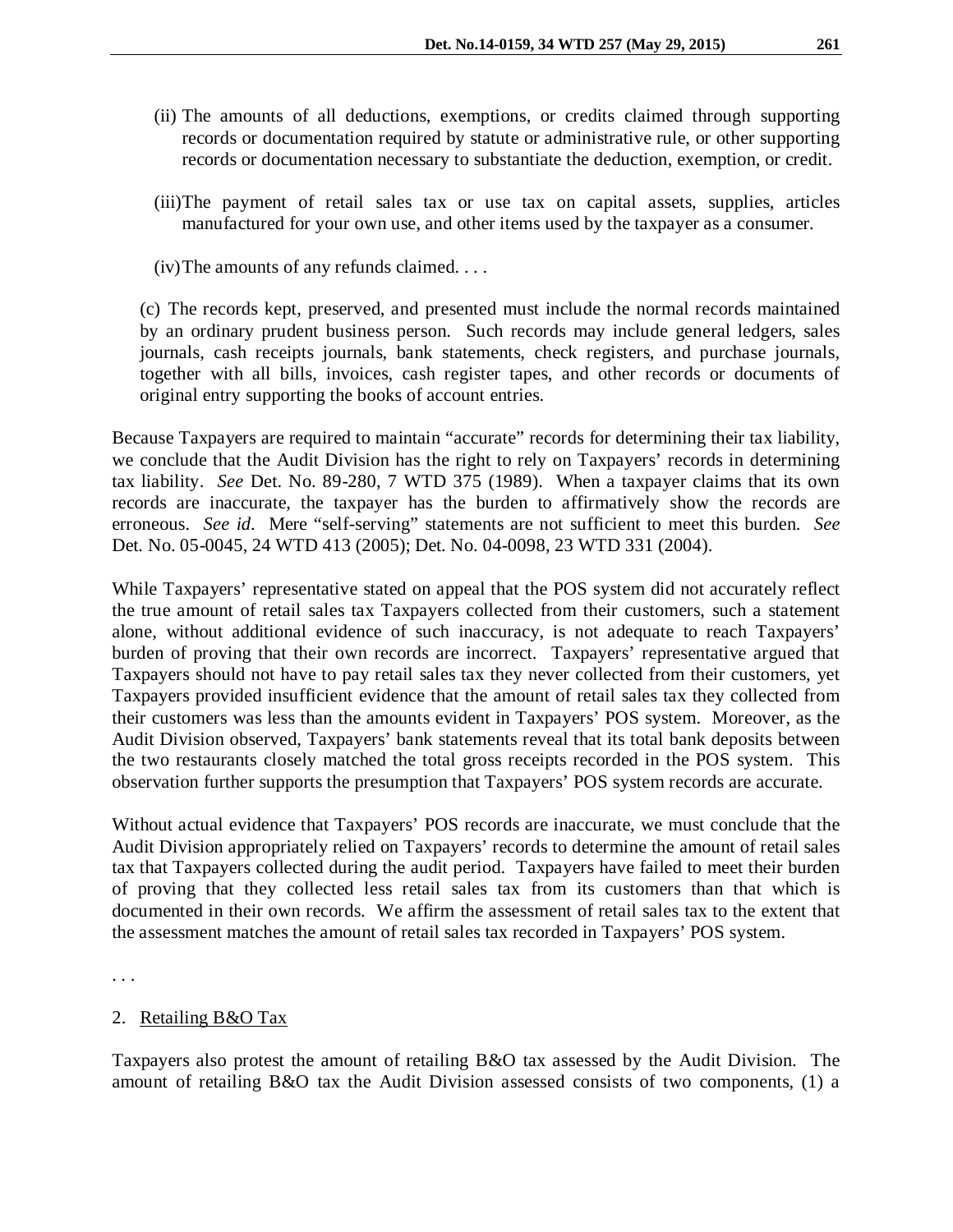- (ii) The amounts of all deductions, exemptions, or credits claimed through supporting records or documentation required by statute or administrative rule, or other supporting records or documentation necessary to substantiate the deduction, exemption, or credit.
- (iii)The payment of retail sales tax or use tax on capital assets, supplies, articles manufactured for your own use, and other items used by the taxpayer as a consumer.
- (iv)The amounts of any refunds claimed. . . .

(c) The records kept, preserved, and presented must include the normal records maintained by an ordinary prudent business person. Such records may include general ledgers, sales journals, cash receipts journals, bank statements, check registers, and purchase journals, together with all bills, invoices, cash register tapes, and other records or documents of original entry supporting the books of account entries.

Because Taxpayers are required to maintain "accurate" records for determining their tax liability, we conclude that the Audit Division has the right to rely on Taxpayers' records in determining tax liability. *See* Det. No. 89-280, 7 WTD 375 (1989). When a taxpayer claims that its own records are inaccurate, the taxpayer has the burden to affirmatively show the records are erroneous. *See id.* Mere "self-serving" statements are not sufficient to meet this burden. *See*  Det. No. 05-0045, 24 WTD 413 (2005); Det. No. 04-0098, 23 WTD 331 (2004).

While Taxpayers' representative stated on appeal that the POS system did not accurately reflect the true amount of retail sales tax Taxpayers collected from their customers, such a statement alone, without additional evidence of such inaccuracy, is not adequate to reach Taxpayers' burden of proving that their own records are incorrect. Taxpayers' representative argued that Taxpayers should not have to pay retail sales tax they never collected from their customers, yet Taxpayers provided insufficient evidence that the amount of retail sales tax they collected from their customers was less than the amounts evident in Taxpayers' POS system. Moreover, as the Audit Division observed, Taxpayers' bank statements reveal that its total bank deposits between the two restaurants closely matched the total gross receipts recorded in the POS system. This observation further supports the presumption that Taxpayers' POS system records are accurate.

Without actual evidence that Taxpayers' POS records are inaccurate, we must conclude that the Audit Division appropriately relied on Taxpayers' records to determine the amount of retail sales tax that Taxpayers collected during the audit period. Taxpayers have failed to meet their burden of proving that they collected less retail sales tax from its customers than that which is documented in their own records. We affirm the assessment of retail sales tax to the extent that the assessment matches the amount of retail sales tax recorded in Taxpayers' POS system.

. . .

### 2. Retailing B&O Tax

Taxpayers also protest the amount of retailing B&O tax assessed by the Audit Division. The amount of retailing B&O tax the Audit Division assessed consists of two components, (1) a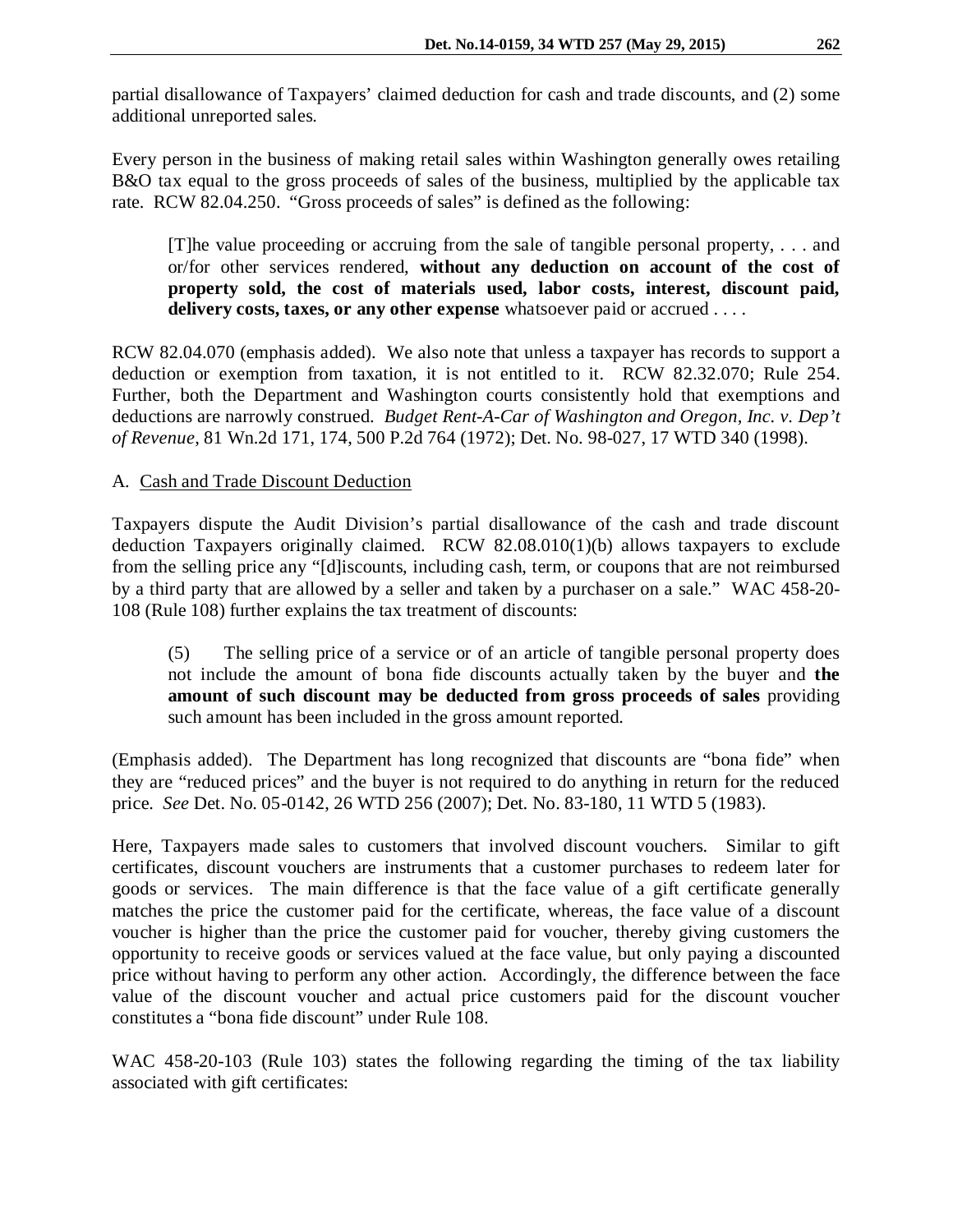partial disallowance of Taxpayers' claimed deduction for cash and trade discounts, and (2) some additional unreported sales.

Every person in the business of making retail sales within Washington generally owes retailing B&O tax equal to the gross proceeds of sales of the business, multiplied by the applicable tax rate. RCW 82.04.250. "Gross proceeds of sales" is defined as the following:

[T]he value proceeding or accruing from the sale of tangible personal property, . . . and or/for other services rendered, **without any deduction on account of the cost of property sold, the cost of materials used, labor costs, interest, discount paid, delivery costs, taxes, or any other expense** whatsoever paid or accrued . . . .

RCW 82.04.070 (emphasis added). We also note that unless a taxpayer has records to support a deduction or exemption from taxation, it is not entitled to it. RCW 82.32.070; Rule 254. Further, both the Department and Washington courts consistently hold that exemptions and deductions are narrowly construed. *Budget Rent-A-Car of Washington and Oregon, Inc. v. Dep't of Revenue*, 81 Wn.2d 171, 174, 500 P.2d 764 (1972); Det. No. 98-027, 17 WTD 340 (1998).

## A. Cash and Trade Discount Deduction

Taxpayers dispute the Audit Division's partial disallowance of the cash and trade discount deduction Taxpayers originally claimed. RCW  $82.08.010(1)(b)$  allows taxpayers to exclude from the selling price any "[d]iscounts, including cash, term, or coupons that are not reimbursed by a third party that are allowed by a seller and taken by a purchaser on a sale." WAC 458-20- 108 (Rule 108) further explains the tax treatment of discounts:

(5) The selling price of a service or of an article of tangible personal property does not include the amount of bona fide discounts actually taken by the buyer and **the amount of such discount may be deducted from gross proceeds of sales** providing such amount has been included in the gross amount reported.

(Emphasis added). The Department has long recognized that discounts are "bona fide" when they are "reduced prices" and the buyer is not required to do anything in return for the reduced price. *See* Det. No. 05-0142, 26 WTD 256 (2007); Det. No. 83-180, 11 WTD 5 (1983).

Here, Taxpayers made sales to customers that involved discount vouchers. Similar to gift certificates, discount vouchers are instruments that a customer purchases to redeem later for goods or services. The main difference is that the face value of a gift certificate generally matches the price the customer paid for the certificate, whereas, the face value of a discount voucher is higher than the price the customer paid for voucher, thereby giving customers the opportunity to receive goods or services valued at the face value, but only paying a discounted price without having to perform any other action. Accordingly, the difference between the face value of the discount voucher and actual price customers paid for the discount voucher constitutes a "bona fide discount" under Rule 108.

WAC 458-20-103 (Rule 103) states the following regarding the timing of the tax liability associated with gift certificates: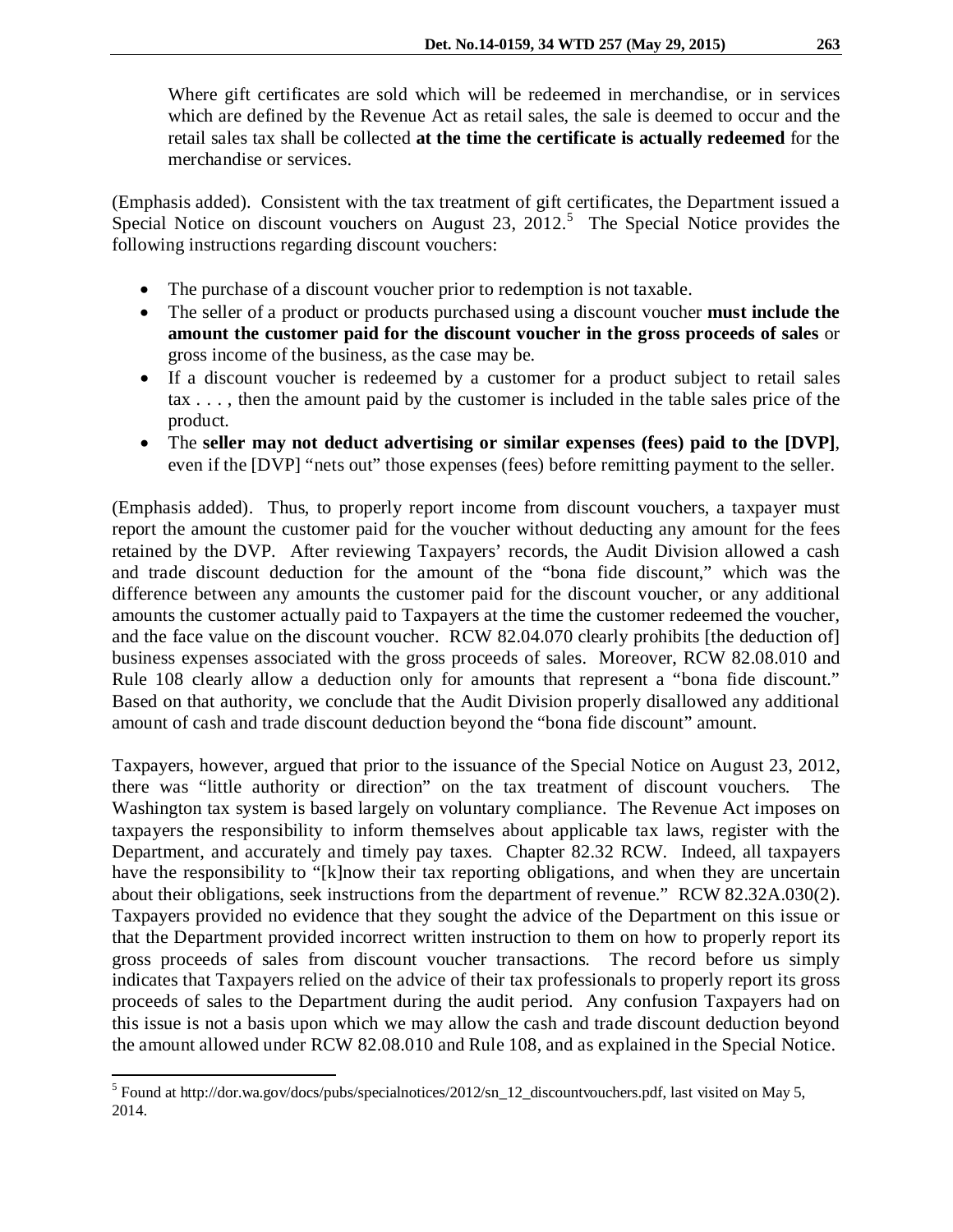Where gift certificates are sold which will be redeemed in merchandise, or in services which are defined by the Revenue Act as retail sales, the sale is deemed to occur and the retail sales tax shall be collected **at the time the certificate is actually redeemed** for the merchandise or services.

(Emphasis added). Consistent with the tax treatment of gift certificates, the Department issued a Special Notice on discount vouchers on August 23, 2012.<sup>[5](#page-6-0)</sup> The Special Notice provides the following instructions regarding discount vouchers:

- The purchase of a discount voucher prior to redemption is not taxable.
- The seller of a product or products purchased using a discount voucher **must include the amount the customer paid for the discount voucher in the gross proceeds of sales** or gross income of the business, as the case may be.
- If a discount voucher is redeemed by a customer for a product subject to retail sales tax . . . , then the amount paid by the customer is included in the table sales price of the product.
- The **seller may not deduct advertising or similar expenses (fees) paid to the [DVP]**, even if the [DVP] "nets out" those expenses (fees) before remitting payment to the seller.

(Emphasis added). Thus, to properly report income from discount vouchers, a taxpayer must report the amount the customer paid for the voucher without deducting any amount for the fees retained by the DVP. After reviewing Taxpayers' records, the Audit Division allowed a cash and trade discount deduction for the amount of the "bona fide discount," which was the difference between any amounts the customer paid for the discount voucher, or any additional amounts the customer actually paid to Taxpayers at the time the customer redeemed the voucher, and the face value on the discount voucher. RCW 82.04.070 clearly prohibits [the deduction of] business expenses associated with the gross proceeds of sales. Moreover, RCW 82.08.010 and Rule 108 clearly allow a deduction only for amounts that represent a "bona fide discount." Based on that authority, we conclude that the Audit Division properly disallowed any additional amount of cash and trade discount deduction beyond the "bona fide discount" amount.

Taxpayers, however, argued that prior to the issuance of the Special Notice on August 23, 2012, there was "little authority or direction" on the tax treatment of discount vouchers. The Washington tax system is based largely on voluntary compliance. The Revenue Act imposes on taxpayers the responsibility to inform themselves about applicable tax laws, register with the Department, and accurately and timely pay taxes. Chapter 82.32 RCW. Indeed, all taxpayers have the responsibility to "[k]now their tax reporting obligations, and when they are uncertain about their obligations, seek instructions from the department of revenue." RCW 82.32A.030(2). Taxpayers provided no evidence that they sought the advice of the Department on this issue or that the Department provided incorrect written instruction to them on how to properly report its gross proceeds of sales from discount voucher transactions. The record before us simply indicates that Taxpayers relied on the advice of their tax professionals to properly report its gross proceeds of sales to the Department during the audit period. Any confusion Taxpayers had on this issue is not a basis upon which we may allow the cash and trade discount deduction beyond the amount allowed under RCW 82.08.010 and Rule 108, and as explained in the Special Notice.

<span id="page-6-0"></span> <sup>5</sup> Found at http://dor.wa.gov/docs/pubs/specialnotices/2012/sn\_12\_discountvouchers.pdf, last visited on May 5, 2014.